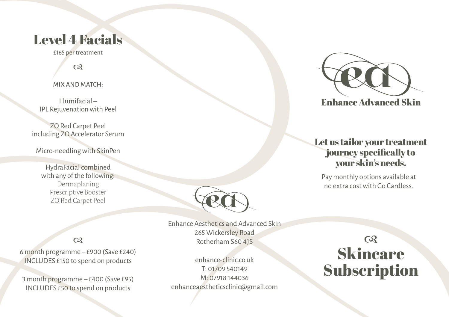## Level 4 Facials

£165 per treatment

 $\infty$ 

MIX AND MATCH:

Illumifacial – IPL Rejuvenation with Peel

ZO Red Carpet Peel including ZO Accelerator Serum

Micro-needling with SkinPen

HydraFacial combined with any of the following: Dermaplaning Prescriptive Booster ZO Red Carpet Peel



 $\sim$  265 WICKersley Road<br>Rotherham S60 4JS 2002 Enhance Aesthetics and Advanced Skin 265 Wickersley Road Rotherham S60 4JS

> enhance-clinic.co.uk T: 01709 540149 M: 07918 144036 enhanceaestheticsclinic@gmail.com



**Enhance Advanced Skin** 

### Let us tailor your treatment journey specifically to your skin's needs.

Pay monthly options available at no extra cost with Go Cardless.

Skincare **Subscription** 

6 month programme – £900 (Save £240) INCLUDES £150 to spend on products

3 month programme – £400 (Save £95) INCLUDES £50 to spend on products